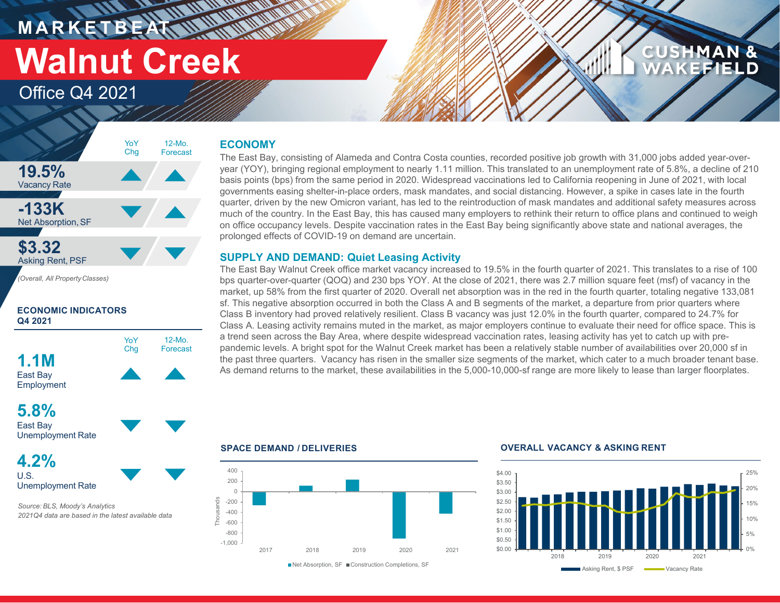*<u>THE WARRANT</u>* **MARKETBEATTU Walnut Creek**

YoY

Office Q4 2021

### **CUSHMAN & KEFIELD**

#### **ECONOMY**

12-Mo.

The East Bay, consisting of Alameda and Contra Costa counties, recorded positive job growth with 31,000 jobs added year-overyear (YOY), bringing regional employment to nearly 1.11 million. This translated to an unemployment rate of 5.8%, a decline of 210 basis points (bps) from the same period in 2020. Widespread vaccinations led to California reopening in June of 2021, with local governments easing shelter-in-place orders, mask mandates, and social distancing. However, a spike in cases late in the fourth quarter, driven by the new Omicron variant, has led to the reintroduction of mask mandates and additional safety measures across much of the country. In the East Bay, this has caused many employers to rethink their return to office plans and continued to weigh on office occupancy levels. Despite vaccination rates in the East Bay being significantly above state and national averages, the prolonged effects of COVID-19 on demand are uncertain.

#### **SUPPLY AND DEMAND: Quiet Leasing Activity**

The East Bay Walnut Creek office market vacancy increased to 19.5% in the fourth quarter of 2021. This translates to a rise of 100 bps quarter-over-quarter (QOQ) and 230 bps YOY. At the close of 2021, there was 2.7 million square feet (msf) of vacancy in the market, up 58% from the first quarter of 2020. Overall net absorption was in the red in the fourth quarter, totaling negative 133,081 sf. This negative absorption occurred in both the Class A and B segments of the market, a departure from prior quarters where Class B inventory had proved relatively resilient. Class B vacancy was just 12.0% in the fourth quarter, compared to 24.7% for Class A. Leasing activity remains muted in the market, as major employers continue to evaluate their need for office space. This is a trend seen across the Bay Area, where despite widespread vaccination rates, leasing activity has yet to catch up with prepandemic levels. A bright spot for the Walnut Creek market has been a relatively stable number of availabilities over 20,000 sf in the past three quarters. Vacancy has risen in the smaller size segments of the market, which cater to a much broader tenant base. As demand returns to the market, these availabilities in the 5,000-10,000-sf range are more likely to lease than larger floorplates.

#### **19.5%** Vacancy Rate **-133K** Net Absorption, SF **\$3.32** Asking Rent, PSF *(Overall, All PropertyClasses)* Forecast Chg

#### **ECONOMIC INDICATORS Q4 2021**



**4.2%**

U.S. Unemployment Rate

*Source: BLS, Moody's Analytics 2021Q4 data are based in the latest available data*



#### ■Net Absorption, SF ■ Construction Completions, SF

#### **SPACE DEMAND / DELIVERIES OVERALL VACANCY & ASKING RENT**

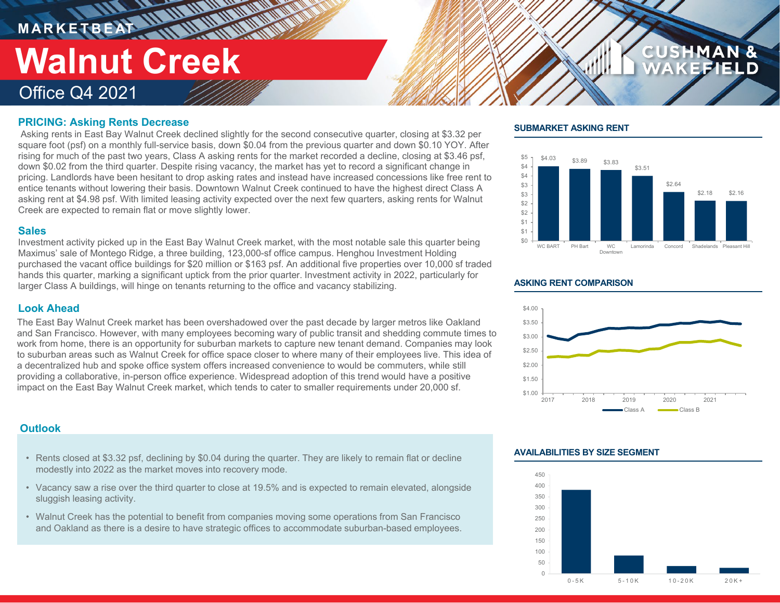## **M A R K E T B E AT** Office Q4 2021 **Walnut Creek**

#### **PRICING: Asking Rents Decrease**

Asking rents in East Bay Walnut Creek declined slightly for the second consecutive quarter, closing at \$3.32 per square foot (psf) on a monthly full-service basis, down \$0.04 from the previous quarter and down \$0.10 YOY. After rising for much of the past two years, Class A asking rents for the market recorded a decline, closing at \$3.46 psf, down \$0.02 from the third quarter. Despite rising vacancy, the market has yet to record a significant change in pricing. Landlords have been hesitant to drop asking rates and instead have increased concessions like free rent to entice tenants without lowering their basis. Downtown Walnut Creek continued to have the highest direct Class A asking rent at \$4.98 psf. With limited leasing activity expected over the next few quarters, asking rents for Walnut Creek are expected to remain flat or move slightly lower.

#### **Sales**

Investment activity picked up in the East Bay Walnut Creek market, with the most notable sale this quarter being Maximus' sale of Montego Ridge, a three building, 123,000-sf office campus. Henghou Investment Holding purchased the vacant office buildings for \$20 million or \$163 psf. An additional five properties over 10,000 sf traded hands this quarter, marking a significant uptick from the prior quarter. Investment activity in 2022, particularly for larger Class A buildings, will hinge on tenants returning to the office and vacancy stabilizing.

#### **Look Ahead**

The East Bay Walnut Creek market has been overshadowed over the past decade by larger metros like Oakland and San Francisco. However, with many employees becoming wary of public transit and shedding commute times to work from home, there is an opportunity for suburban markets to capture new tenant demand. Companies may look to suburban areas such as Walnut Creek for office space closer to where many of their employees live. This idea of a decentralized hub and spoke office system offers increased convenience to would be commuters, while still providing a collaborative, in-person office experience. Widespread adoption of this trend would have a positive impact on the East Bay Walnut Creek market, which tends to cater to smaller requirements under 20,000 sf.

#### **Outlook**

- Rents closed at \$3.32 psf, declining by \$0.04 during the quarter. They are likely to remain flat or decline modestly into 2022 as the market moves into recovery mode.
- Vacancy saw a rise over the third quarter to close at 19.5% and is expected to remain elevated, alongside sluggish leasing activity.
- Walnut Creek has the potential to benefit from companies moving some operations from San Francisco and Oakland as there is a desire to have strategic offices to accommodate suburban-based employees.

#### **SUBMARKET ASKING RENT**



**CUSHMAN &** 

#### **ASKING RENT COMPARISON**



#### **AVAILABILITIES BY SIZE SEGMENT**

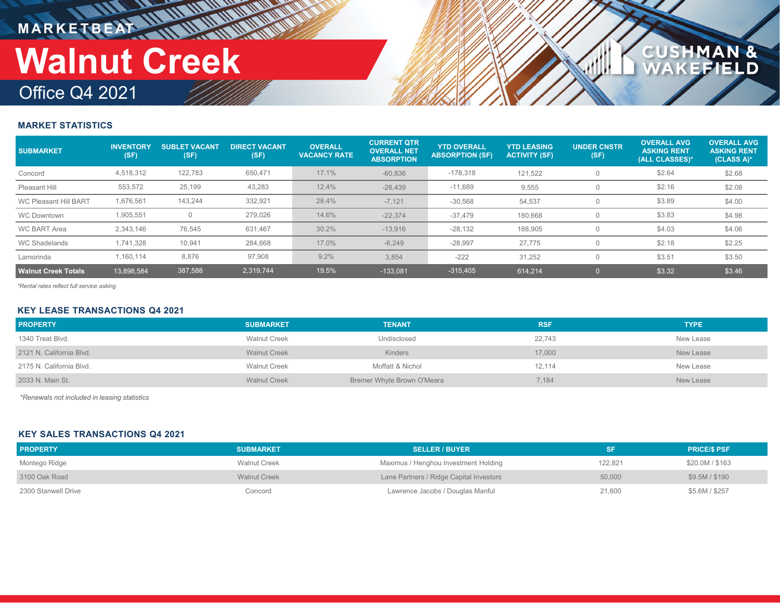# **MARKETBEAT IN IN IN IN IN IN IN Walnut Creek**

### Office Q4 2021

#### **MARKET STATISTICS**

| <b>SUBMARKET</b>             | <b>INVENTORY</b><br>(SF) | <b>SUBLET VACANT</b><br>(SF) | <b>DIRECT VACANT.</b><br>(SF) | <b>OVERALL</b><br><b>VACANCY RATE</b> | <b>CURRENT QTR</b><br><b>OVERALL NET</b><br><b>ABSORPTION</b> | <b>YTD OVERALL</b><br><b>ABSORPTION (SF)</b> | <b>YTD LEASING</b><br><b>ACTIVITY (SF)</b> | <b>UNDER CNSTR</b><br>(SF) | <b>OVERALL AVG</b><br><b>ASKING RENT</b><br>(ALL CLASSES)* | <b>OVERALL AVG</b><br><b>ASKING RENT</b><br>(CLASS A)* |
|------------------------------|--------------------------|------------------------------|-------------------------------|---------------------------------------|---------------------------------------------------------------|----------------------------------------------|--------------------------------------------|----------------------------|------------------------------------------------------------|--------------------------------------------------------|
| Concord                      | 4,518,312                | 122,783                      | 650,471                       | 17.1%                                 | $-60,836$                                                     | $-178,318$                                   | 121,522                                    |                            | \$2.64                                                     | \$2.68                                                 |
| Pleasant Hill                | 553,572                  | 25,199                       | 43,283                        | 12.4%                                 | $-26,439$                                                     | $-11,689$                                    | 9,555                                      |                            | \$2.16                                                     | \$2.08                                                 |
| <b>WC Pleasant Hill BART</b> | 1,676,561                | 143.244                      | 332,921                       | 28.4%                                 | $-7,121$                                                      | $-30,568$                                    | 54,537                                     |                            | \$3.89                                                     | \$4.00                                                 |
| <b>WC Downtown</b>           | 1,905,551                |                              | 279,026                       | 14.6%                                 | $-22.374$                                                     | $-37.479$                                    | 180,668                                    |                            | \$3.83                                                     | \$4.98                                                 |
| <b>WC BART Area</b>          | 2.343.146                | 76,545                       | 631,467                       | 30.2%                                 | $-13.916$                                                     | $-28,132$                                    | 188,905                                    |                            | \$4.03                                                     | \$4.06                                                 |
| <b>WC Shadelands</b>         | 1.741.328                | 10,941                       | 284,668                       | 17.0%                                 | $-6,249$                                                      | $-28,997$                                    | 27.775                                     |                            | \$2.18                                                     | \$2.25                                                 |
| Lamorinda                    | 1.160.114                | 8.876                        | 97,908                        | 9.2%                                  | 3,854                                                         | $-222$                                       | 31,252                                     |                            | \$3.51                                                     | \$3.50                                                 |
| <b>Walnut Creek Totals</b>   | 13.898.584               | 387,588                      | 2.319.744                     | 19.5%                                 | $-133.081$                                                    | $-315,405$                                   | 614.214                                    |                            | \$3.32                                                     | \$3.46                                                 |

**CUSHMAN &<br>WAKEFIELD** 

*\*Rental rates reflect full service asking*

#### **KEY LEASE TRANSACTIONS Q4 2021**

| <b>PROPERTY</b>          | <b>SUBMARKET</b>    | <b>TENANT</b>              | <b>RSF</b> | <b>TYPE</b> |
|--------------------------|---------------------|----------------------------|------------|-------------|
| 1340 Treat Blvd.         | <b>Walnut Creek</b> | Undisclosed                | 22,743     | New Lease   |
| 2121 N. California Blvd. | <b>Walnut Creek</b> | <b>Kinders</b>             | 17,000     | New Lease   |
| 2175 N. California Blvd. | <b>Walnut Creek</b> | Moffatt & Nichol           | 12,114     | New Lease   |
| 2033 N. Main St.         | <b>Walnut Creek</b> | Bremer Whyte Brown O'Meara | 7,184      | New Lease   |

*\*Renewals not included in leasing statistics*

#### **KEY SALES TRANSACTIONS Q4 2021**

| <b>PROPERTY</b>     | <b>SUBMARKET</b>    | <b>SELLER / BUYER</b>                   |         | <b>PRICE/S PSF</b> |
|---------------------|---------------------|-----------------------------------------|---------|--------------------|
| Montego Ridge       | <b>Walnut Creek</b> | Maximus / Henghou Investment Holding    | 122,821 | \$20.0M / \$163    |
| 3100 Oak Road       | <b>Walnut Creek</b> | Lane Partners / Ridge Capital Investors | 50,000  | \$9.5M / \$190     |
| 2300 Stanwell Drive | Concord             | Lawrence Jacobs / Douglas Manful        | 21,600  | \$5.6M / \$257     |